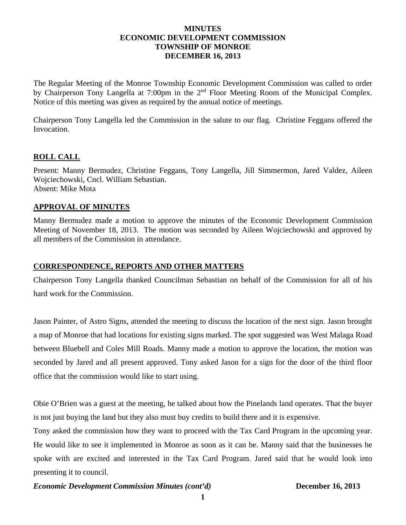## **MINUTES ECONOMIC DEVELOPMENT COMMISSION TOWNSHIP OF MONROE DECEMBER 16, 2013**

The Regular Meeting of the Monroe Township Economic Development Commission was called to order by Chairperson Tony Langella at 7:00pm in the 2<sup>nd</sup> Floor Meeting Room of the Municipal Complex. Notice of this meeting was given as required by the annual notice of meetings.

Chairperson Tony Langella led the Commission in the salute to our flag. Christine Feggans offered the Invocation.

## **ROLL CALL**

Present: Manny Bermudez, Christine Feggans, Tony Langella, Jill Simmermon, Jared Valdez, Aileen Wojciechowski, Cncl. William Sebastian. Absent: Mike Mota

### **APPROVAL OF MINUTES**

Manny Bermudez made a motion to approve the minutes of the Economic Development Commission Meeting of November 18, 2013. The motion was seconded by Aileen Wojciechowski and approved by all members of the Commission in attendance.

### **CORRESPONDENCE, REPORTS AND OTHER MATTERS**

Chairperson Tony Langella thanked Councilman Sebastian on behalf of the Commission for all of his hard work for the Commission.

Jason Painter, of Astro Signs, attended the meeting to discuss the location of the next sign. Jason brought a map of Monroe that had locations for existing signs marked. The spot suggested was West Malaga Road between Bluebell and Coles Mill Roads. Manny made a motion to approve the location, the motion was seconded by Jared and all present approved. Tony asked Jason for a sign for the door of the third floor office that the commission would like to start using.

Obie O'Brien was a guest at the meeting, he talked about how the Pinelands land operates. That the buyer is not just buying the land but they also must buy credits to build there and it is expensive.

Tony asked the commission how they want to proceed with the Tax Card Program in the upcoming year. He would like to see it implemented in Monroe as soon as it can be. Manny said that the businesses he spoke with are excited and interested in the Tax Card Program. Jared said that he would look into presenting it to council.

### *Economic Development Commission Minutes (cont'd)* **December 16, 2013**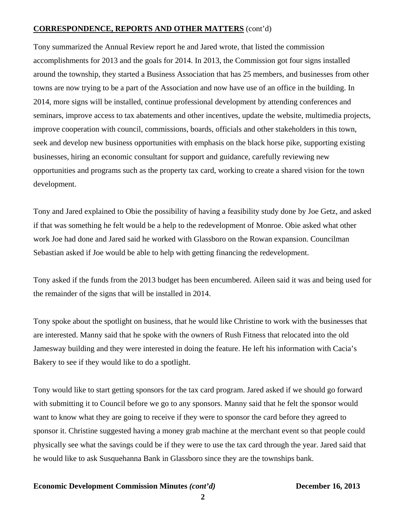## **CORRESPONDENCE, REPORTS AND OTHER MATTERS** (cont'd)

Tony summarized the Annual Review report he and Jared wrote, that listed the commission accomplishments for 2013 and the goals for 2014. In 2013, the Commission got four signs installed around the township, they started a Business Association that has 25 members, and businesses from other towns are now trying to be a part of the Association and now have use of an office in the building. In 2014, more signs will be installed, continue professional development by attending conferences and seminars, improve access to tax abatements and other incentives, update the website, multimedia projects, improve cooperation with council, commissions, boards, officials and other stakeholders in this town, seek and develop new business opportunities with emphasis on the black horse pike, supporting existing businesses, hiring an economic consultant for support and guidance, carefully reviewing new opportunities and programs such as the property tax card, working to create a shared vision for the town development.

Tony and Jared explained to Obie the possibility of having a feasibility study done by Joe Getz, and asked if that was something he felt would be a help to the redevelopment of Monroe. Obie asked what other work Joe had done and Jared said he worked with Glassboro on the Rowan expansion. Councilman Sebastian asked if Joe would be able to help with getting financing the redevelopment.

Tony asked if the funds from the 2013 budget has been encumbered. Aileen said it was and being used for the remainder of the signs that will be installed in 2014.

Tony spoke about the spotlight on business, that he would like Christine to work with the businesses that are interested. Manny said that he spoke with the owners of Rush Fitness that relocated into the old Jamesway building and they were interested in doing the feature. He left his information with Cacia's Bakery to see if they would like to do a spotlight.

Tony would like to start getting sponsors for the tax card program. Jared asked if we should go forward with submitting it to Council before we go to any sponsors. Manny said that he felt the sponsor would want to know what they are going to receive if they were to sponsor the card before they agreed to sponsor it. Christine suggested having a money grab machine at the merchant event so that people could physically see what the savings could be if they were to use the tax card through the year. Jared said that he would like to ask Susquehanna Bank in Glassboro since they are the townships bank.

### **Economic Development Commission Minutes** *(cont'd)* **December 16, 2013**